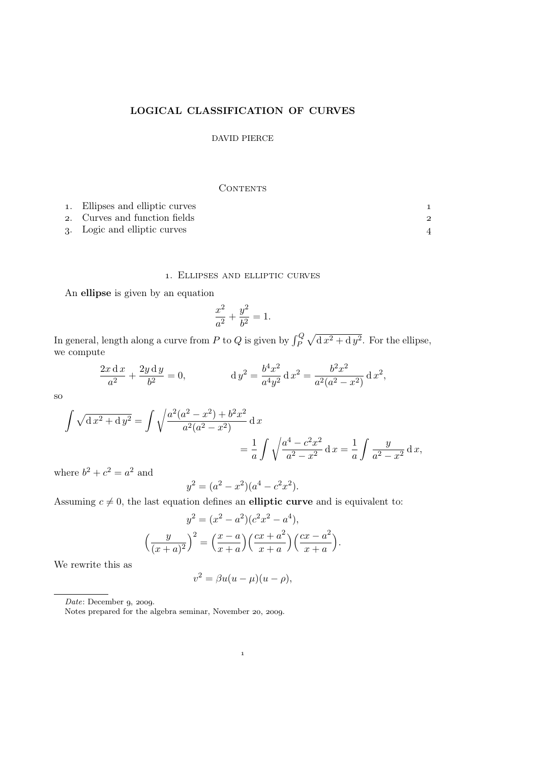# LOGICAL CLASSIFICATION OF CURVES

# DAVID PIERCE

### **CONTENTS**

| 1. Ellipses and elliptic curves |  |
|---------------------------------|--|
| 2. Curves and function fields   |  |
| 3. Logic and elliptic curves    |  |

## . Ellipses and elliptic curves

An ellipse is given by an equation

$$
\frac{x^2}{a^2} + \frac{y^2}{b^2} = 1.
$$

In general, length along a curve from P to Q is given by  $\int_P^Q \sqrt{d x^2 + d y^2}$ . For the ellipse, we compute

$$
\frac{2x \, dx}{a^2} + \frac{2y \, dy}{b^2} = 0, \qquad dy^2 = \frac{b^4 x^2}{a^4 y^2} \, dx^2 = \frac{b^2 x^2}{a^2 (a^2 - x^2)} \, dx^2,
$$

so

$$
\int \sqrt{dx^2 + dy^2} = \int \sqrt{\frac{a^2(a^2 - x^2) + b^2x^2}{a^2(a^2 - x^2)}} dx
$$
  
=  $\frac{1}{a} \int \sqrt{\frac{a^4 - c^2x^2}{a^2 - x^2}} dx = \frac{1}{a} \int \frac{y}{a^2 - x^2} dx$ ,

where  $b^2 + c^2 = a^2$  and

$$
y^2 = (a^2 - x^2)(a^4 - c^2x^2).
$$

Assuming  $c \neq 0$ , the last equation defines an elliptic curve and is equivalent to:

$$
y^{2} = (x^{2} - a^{2})(c^{2}x^{2} - a^{4}),
$$

$$
\left(\frac{y}{(x+a)^{2}}\right)^{2} = \left(\frac{x-a}{x+a}\right)\left(\frac{cx+a^{2}}{x+a}\right)\left(\frac{cx-a^{2}}{x+a}\right).
$$

We rewrite this as

$$
v^2 = \beta u(u - \mu)(u - \rho),
$$

 $\mathbf{1}$ 

 $Date: December 9, 2009.$ 

Notes prepared for the algebra seminar, November 20, 2009.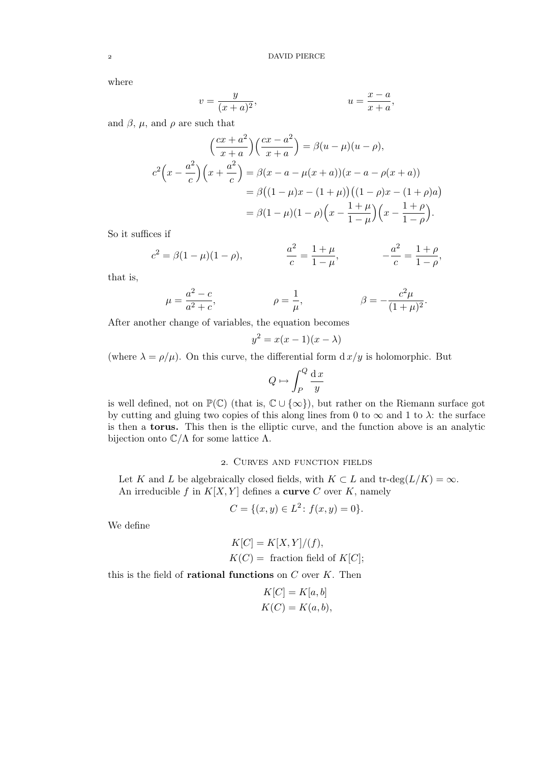where

$$
v = \frac{y}{(x+a)^2},
$$
  

$$
u = \frac{x-a}{x+a},
$$

and  $\beta$ ,  $\mu$ , and  $\rho$  are such that

$$
\left(\frac{cx+a^2}{x+a}\right)\left(\frac{cx-a^2}{x+a}\right) = \beta(u-\mu)(u-\rho),
$$
  

$$
c^2\left(x-\frac{a^2}{c}\right)\left(x+\frac{a^2}{c}\right) = \beta(x-a-\mu(x+a))(x-a-\rho(x+a))
$$
  

$$
= \beta((1-\mu)x-(1+\mu))\left((1-\rho)x-(1+\rho)a\right)
$$
  

$$
= \beta(1-\mu)(1-\rho)\left(x-\frac{1+\mu}{1-\mu}\right)\left(x-\frac{1+\rho}{1-\rho}\right).
$$

So it suffices if

$$
c^2 = \beta(1 - \mu)(1 - \rho),
$$
  $\frac{a^2}{c} = \frac{1 + \mu}{1 - \mu},$   $-\frac{a^2}{c} = \frac{1 + \rho}{1 - \rho},$ 

that is,

$$
\mu = \frac{a^2 - c}{a^2 + c}
$$
,  $\rho = \frac{1}{\mu}$ ,  $\beta = -\frac{c^2 \mu}{(1 + \mu)^2}$ .

After another change of variables, the equation becomes

$$
y^2 = x(x-1)(x-\lambda)
$$

(where  $\lambda = \rho/\mu$ ). On this curve, the differential form  $d x/y$  is holomorphic. But

$$
Q \mapsto \int_P^Q \frac{\mathrm{d}x}{y}
$$

is well defined, not on  $\mathbb{P}(\mathbb{C})$  (that is,  $\mathbb{C} \cup {\infty}$ ), but rather on the Riemann surface got by cutting and gluing two copies of this along lines from 0 to  $\infty$  and 1 to  $\lambda$ : the surface is then a torus. This then is the elliptic curve, and the function above is an analytic bijection onto  $\mathbb{C}/\Lambda$  for some lattice  $\Lambda$ .

### . Curves and function fields

Let K and L be algebraically closed fields, with  $K \subset L$  and  $\text{tr-deg}(L/K) = \infty$ . An irreducible f in  $K[X, Y]$  defines a curve C over K, namely

$$
C = \{(x, y) \in L^2 : f(x, y) = 0\}.
$$

We define

$$
K[C] = K[X, Y]/(f),
$$
  

$$
K(C) =
$$
 fraction field of  $K[C]$ ;

this is the field of **rational functions** on  $C$  over  $K$ . Then

$$
K[C] = K[a, b]
$$
  

$$
K(C) = K(a, b),
$$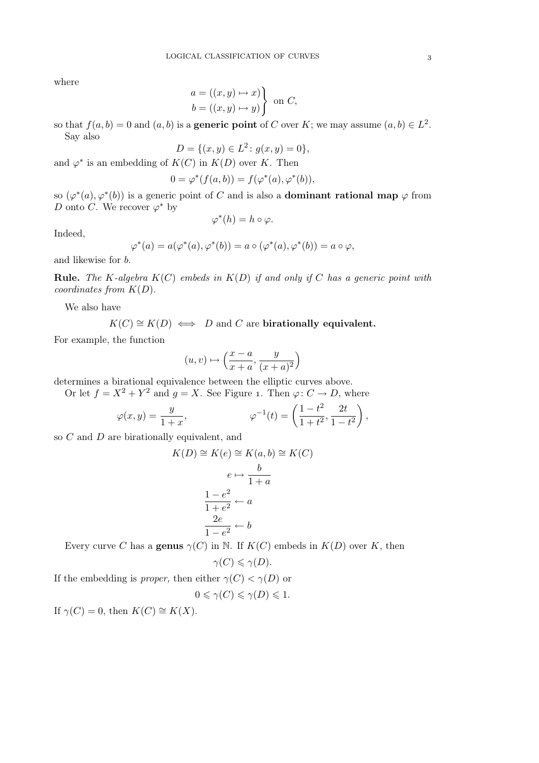where

$$
\begin{aligned}\na &= ((x, y) \mapsto x) \\
b &= ((x, y) \mapsto y)\n\end{aligned}\n\text{ on } C,
$$

so that  $f(a, b) = 0$  and  $(a, b)$  is a **generic point** of C over K; we may assume  $(a, b) \in L^2$ . Say also

$$
D = \{(x, y) \in L^2 \colon g(x, y) = 0\},\
$$

and  $\varphi^*$  is an embedding of  $K(C)$  in  $K(D)$  over K. Then

$$
0 = \varphi^*(f(a,b)) = f(\varphi^*(a), \varphi^*(b)),
$$

so  $(\varphi^*(a), \varphi^*(b))$  is a generic point of C and is also a **dominant rational map**  $\varphi$  from D onto C. We recover  $\varphi^*$  by

$$
\varphi^*(h)=h\circ\varphi.
$$

Indeed,

$$
\varphi^*(a) = a(\varphi^*(a), \varphi^*(b)) = a \circ (\varphi^*(a), \varphi^*(b)) = a \circ \varphi,
$$

and likewise for b.

**Rule.** The K-algebra  $K(C)$  embeds in  $K(D)$  if and only if C has a generic point with coordinates from  $K(D)$ .

We also have

$$
K(C) \cong K(D) \iff D
$$
 and C are birationally equivalent.

For example, the function

$$
(u,v)\mapsto \left(\frac{x-a}{x+a},\frac{y}{(x+a)^2}\right)
$$

determines a birational equivalence between the elliptic curves above.

Or let  $f = X^2 + Y^2$  and  $g = X$ . See Figure 1. Then  $\varphi: C \to D$ , where

$$
\varphi(x,y) = \frac{y}{1+x}, \qquad \varphi^{-1}(t) = \left(\frac{1-t^2}{1+t^2}, \frac{2t}{1-t^2}\right),
$$

so C and D are birationally equivalent, and

$$
K(D) \cong K(e) \cong K(a, b) \cong K(C)
$$

$$
e \mapsto \frac{b}{1+a}
$$

$$
\frac{1-e^2}{1+e^2} \leftarrow a
$$

$$
\frac{2e}{1-e^2} \leftarrow b
$$

Every curve C has a **genus**  $\gamma(C)$  in N. If  $K(C)$  embeds in  $K(D)$  over K, then

$$
\gamma(C) \leqslant \gamma(D).
$$

If the embedding is *proper*, then either  $\gamma(C) < \gamma(D)$  or

$$
0 \leqslant \gamma(C) \leqslant \gamma(D) \leqslant 1.
$$

If  $\gamma(C) = 0$ , then  $K(C) \cong K(X)$ .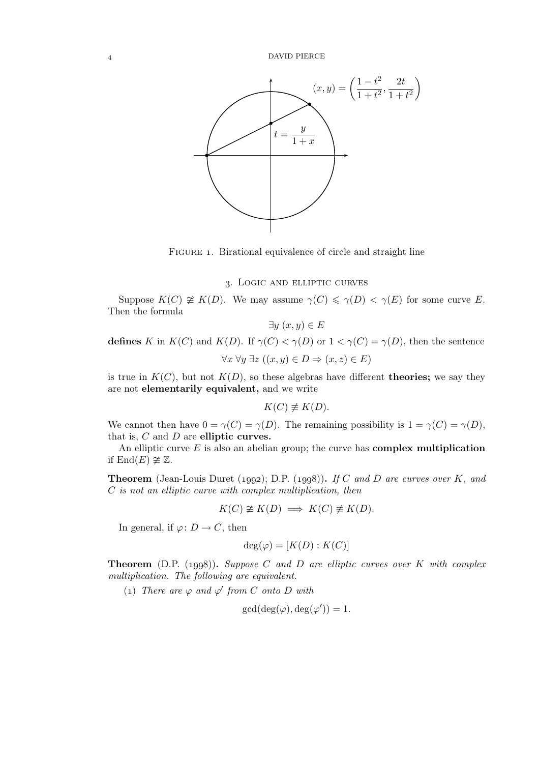

FIGURE 1. Birational equivalence of circle and straight line

#### . Logic and elliptic curves

Suppose  $K(C) \not\cong K(D)$ . We may assume  $\gamma(C) \leq \gamma(D) < \gamma(E)$  for some curve E. Then the formula

$$
\exists y \ (x, y) \in E
$$

defines K in  $K(C)$  and  $K(D)$ . If  $\gamma(C) < \gamma(D)$  or  $1 < \gamma(C) = \gamma(D)$ , then the sentence  $\forall x \forall y \exists z ((x, y) \in D \Rightarrow (x, z) \in E)$ 

is true in  $K(C)$ , but not  $K(D)$ , so these algebras have different **theories**; we say they are not elementarily equivalent, and we write

$$
K(C) \not\equiv K(D).
$$

We cannot then have  $0 = \gamma(C) = \gamma(D)$ . The remaining possibility is  $1 = \gamma(C) = \gamma(D)$ , that is,  $C$  and  $D$  are elliptic curves.

An elliptic curve  $E$  is also an abelian group; the curve has **complex multiplication** if  $\text{End}(E) \not\cong \mathbb{Z}$ .

**Theorem** (Jean-Louis Duret (1992); D.P. (1998)). If C and D are curves over K, and C is not an elliptic curve with complex multiplication, then

$$
K(C) \ncong K(D) \implies K(C) \not\equiv K(D).
$$

In general, if  $\varphi: D \to C$ , then

$$
\deg(\varphi) = [K(D) : K(C)]
$$

**Theorem** (D.P. (1998)). Suppose C and D are elliptic curves over K with complex multiplication. The following are equivalent.

(1) There are  $\varphi$  and  $\varphi'$  from C onto D with

$$
\gcd(\deg(\varphi), \deg(\varphi')) = 1.
$$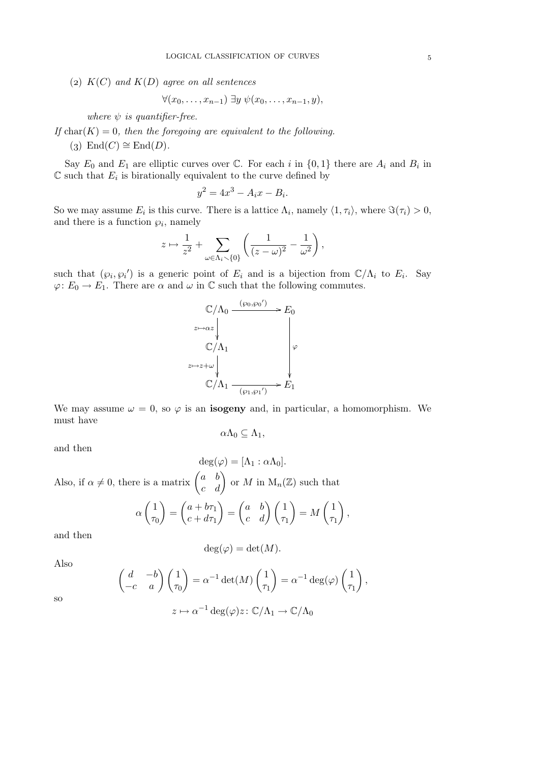(2)  $K(C)$  and  $K(D)$  agree on all sentences

$$
\forall (x_0,\ldots,x_{n-1})\ \exists y\ \psi(x_0,\ldots,x_{n-1},y),
$$

where  $\psi$  is quantifier-free.

If char(K) = 0, then the foregoing are equivalent to the following.

(3) End(C)  $\cong$  End(D).

Say  $E_0$  and  $E_1$  are elliptic curves over  $\mathbb C$ . For each i in  $\{0,1\}$  there are  $A_i$  and  $B_i$  in  $\mathbb C$  such that  $E_i$  is birationally equivalent to the curve defined by

$$
y^2 = 4x^3 - A_ix - B_i.
$$

So we may assume  $E_i$  is this curve. There is a lattice  $\Lambda_i$ , namely  $\langle 1, \tau_i \rangle$ , where  $\Im(\tau_i) > 0$ , and there is a function  $\wp_i$ , namely

$$
z \mapsto \frac{1}{z^2} + \sum_{\omega \in \Lambda_i \setminus \{0\}} \left( \frac{1}{(z - \omega)^2} - \frac{1}{\omega^2} \right),
$$

such that  $(\varphi_i, \varphi_i')$  is a generic point of  $E_i$  and is a bijection from  $\mathbb{C}/\Lambda_i$  to  $E_i$ . Say  $\varphi: E_0 \to E_1$ . There are  $\alpha$  and  $\omega$  in  $\mathbb C$  such that the following commutes.

$$
\mathbb{C}/\Lambda_0 \xrightarrow{(\wp_0, \wp_0')} E_0
$$
\n
$$
\begin{array}{c}\n\text{and} \\
\downarrow E_0 \\
\text{and} \\
\text{and} \\
\downarrow E_1 \\
\downarrow E_2 \\
\downarrow E_1 \\
\downarrow E_2 \\
\downarrow E_1 \\
\downarrow E_2 \\
\downarrow E_1\n\end{array}
$$

We may assume  $\omega = 0$ , so  $\varphi$  is an **isogeny** and, in particular, a homomorphism. We must have

$$
\alpha\Lambda_0\subseteq\Lambda_1,
$$

and then

$$
\deg(\varphi) = [\Lambda_1 : \alpha \Lambda_0].
$$
  
Also, if  $\alpha \neq 0$ , there is a matrix  $\begin{pmatrix} a & b \\ c & d \end{pmatrix}$  or  $M$  in  $\mathcal{M}_n(\mathbb{Z})$  such that  

$$
\alpha \begin{pmatrix} 1 \\ \tau_0 \end{pmatrix} = \begin{pmatrix} a + b\tau_1 \\ c + d\tau_1 \end{pmatrix} = \begin{pmatrix} a & b \\ c & d \end{pmatrix} \begin{pmatrix} 1 \\ \tau_1 \end{pmatrix} = M \begin{pmatrix} 1 \\ \tau_1 \end{pmatrix},
$$

and then

$$
\deg(\varphi) = \det(M).
$$

Also

$$
\begin{pmatrix} d & -b \ -c & a \end{pmatrix} \begin{pmatrix} 1 \ \tau_0 \end{pmatrix} = \alpha^{-1} \det(M) \begin{pmatrix} 1 \ \tau_1 \end{pmatrix} = \alpha^{-1} \deg(\varphi) \begin{pmatrix} 1 \ \tau_1 \end{pmatrix},
$$

$$
z \mapsto \alpha^{-1} \deg(\varphi) z : \mathbb{C}/\Lambda_1 \to \mathbb{C}/\Lambda_0
$$

so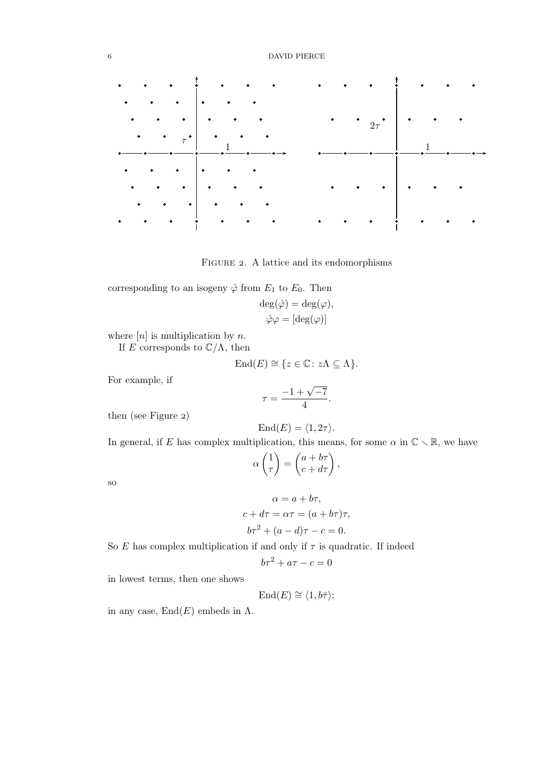

FIGURE 2. A lattice and its endomorphisms

corresponding to an isogeny  $\hat{\varphi}$  from  $E_1$  to  $E_0$ . Then

$$
\deg(\hat{\varphi}) = \deg(\varphi),
$$
  

$$
\hat{\varphi}\varphi = [\deg(\varphi)]
$$

where  $[n]$  is multiplication by n.

If E corresponds to  $\mathbb{C}/\Lambda$ , then

$$
End(E) \cong \{ z \in \mathbb{C} \colon z\Lambda \subseteq \Lambda \}.
$$

For example, if

$$
\tau = \frac{-1 + \sqrt{-7}}{4}.
$$

then (see Figure 2)

$$
End(E)=\langle 1, 2\tau \rangle.
$$

In general, if E has complex multiplication, this means, for some  $\alpha$  in  $\mathbb{C} \setminus \mathbb{R}$ , we have

$$
\alpha \begin{pmatrix} 1 \\ \tau \end{pmatrix} = \begin{pmatrix} a + b\tau \\ c + d\tau \end{pmatrix},
$$

so

$$
\alpha = a + b\tau,
$$
  
\n
$$
c + d\tau = \alpha \tau = (a + b\tau)\tau,
$$
  
\n
$$
b\tau^2 + (a - d)\tau - c = 0.
$$

So  $E$  has complex multiplication if and only if  $\tau$  is quadratic. If indeed

$$
b\tau^2 + a\tau - c = 0
$$

in lowest terms, then one shows

$$
End(E) \cong \langle 1, b\bar{\tau} \rangle;
$$

in any case,  $End(E)$  embeds in  $\Lambda$ .